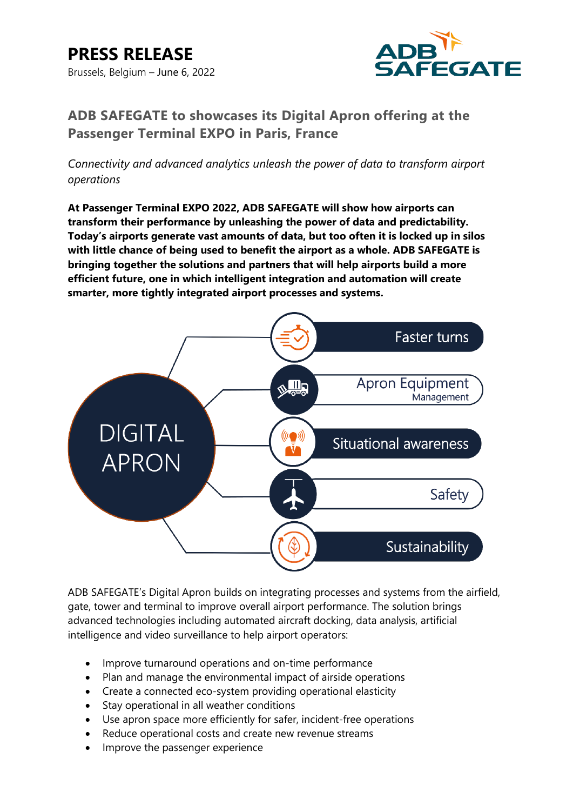# **PRESS RELEASE** Brussels, Belgium – June 6, 2022



# **ADB SAFEGATE to showcases its Digital Apron offering at the Passenger Terminal EXPO in Paris, France**

*Connectivity and advanced analytics unleash the power of data to transform airport operations*

**At Passenger Terminal EXPO 2022, ADB SAFEGATE will show how airports can transform their performance by unleashing the power of data and predictability. Today's airports generate vast amounts of data, but too often it is locked up in silos with little chance of being used to benefit the airport as a whole. ADB SAFEGATE is bringing together the solutions and partners that will help airports build a more efficient future, one in which intelligent integration and automation will create smarter, more tightly integrated airport processes and systems.**



ADB SAFEGATE's Digital Apron builds on integrating processes and systems from the airfield, gate, tower and terminal to improve overall airport performance. The solution brings advanced technologies including automated aircraft docking, data analysis, artificial intelligence and video surveillance to help airport operators:

- Improve turnaround operations and on-time performance
- Plan and manage the environmental impact of airside operations
- Create a connected eco-system providing operational elasticity
- Stay operational in all weather conditions
- Use apron space more efficiently for safer, incident-free operations
- Reduce operational costs and create new revenue streams
- Improve the passenger experience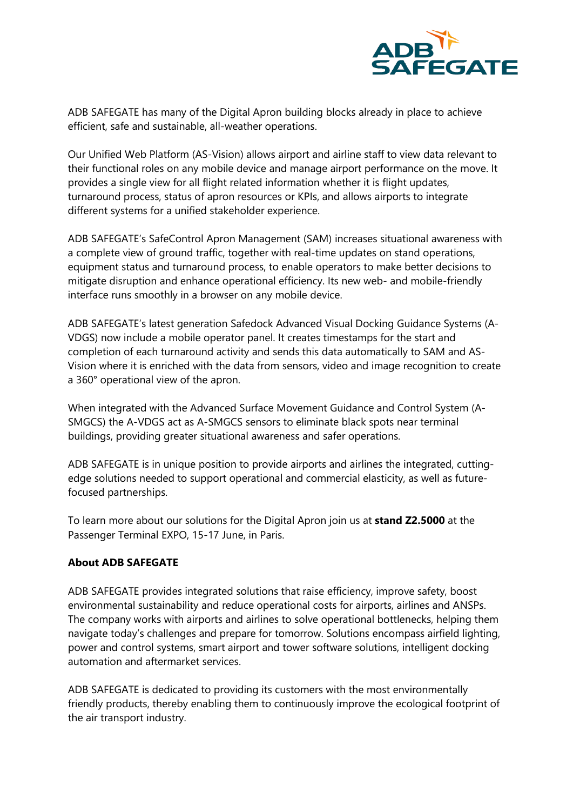

ADB SAFEGATE has many of the Digital Apron building blocks already in place to achieve efficient, safe and sustainable, all-weather operations.

Our Unified Web Platform (AS-Vision) allows airport and airline staff to view data relevant to their functional roles on any mobile device and manage airport performance on the move. It provides a single view for all flight related information whether it is flight updates, turnaround process, status of apron resources or KPIs, and allows airports to integrate different systems for a unified stakeholder experience.

ADB SAFEGATE's SafeControl Apron Management (SAM) increases situational awareness with a complete view of ground traffic, together with real-time updates on stand operations, equipment status and turnaround process, to enable operators to make better decisions to mitigate disruption and enhance operational efficiency. Its new web- and mobile-friendly interface runs smoothly in a browser on any mobile device.

ADB SAFEGATE's latest generation Safedock Advanced Visual Docking Guidance Systems (A-VDGS) now include a mobile operator panel. It creates timestamps for the start and completion of each turnaround activity and sends this data automatically to SAM and AS-Vision where it is enriched with the data from sensors, video and image recognition to create a 360° operational view of the apron.

When integrated with the Advanced Surface Movement Guidance and Control System (A-SMGCS) the A-VDGS act as A-SMGCS sensors to eliminate black spots near terminal buildings, providing greater situational awareness and safer operations.

ADB SAFEGATE is in unique position to provide airports and airlines the integrated, cuttingedge solutions needed to support operational and commercial elasticity, as well as futurefocused partnerships.

To learn more about our solutions for the Digital Apron join us at **stand Z2.5000** at the Passenger Terminal EXPO, 15-17 June, in Paris.

## **About ADB SAFEGATE**

ADB SAFEGATE provides integrated solutions that raise efficiency, improve safety, boost environmental sustainability and reduce operational costs for airports, airlines and ANSPs. The company works with airports and airlines to solve operational bottlenecks, helping them navigate today's challenges and prepare for tomorrow. Solutions encompass airfield lighting, power and control systems, smart airport and tower software solutions, intelligent docking automation and aftermarket services.

ADB SAFEGATE is dedicated to providing its customers with the most environmentally friendly products, thereby enabling them to continuously improve the ecological footprint of the air transport industry.